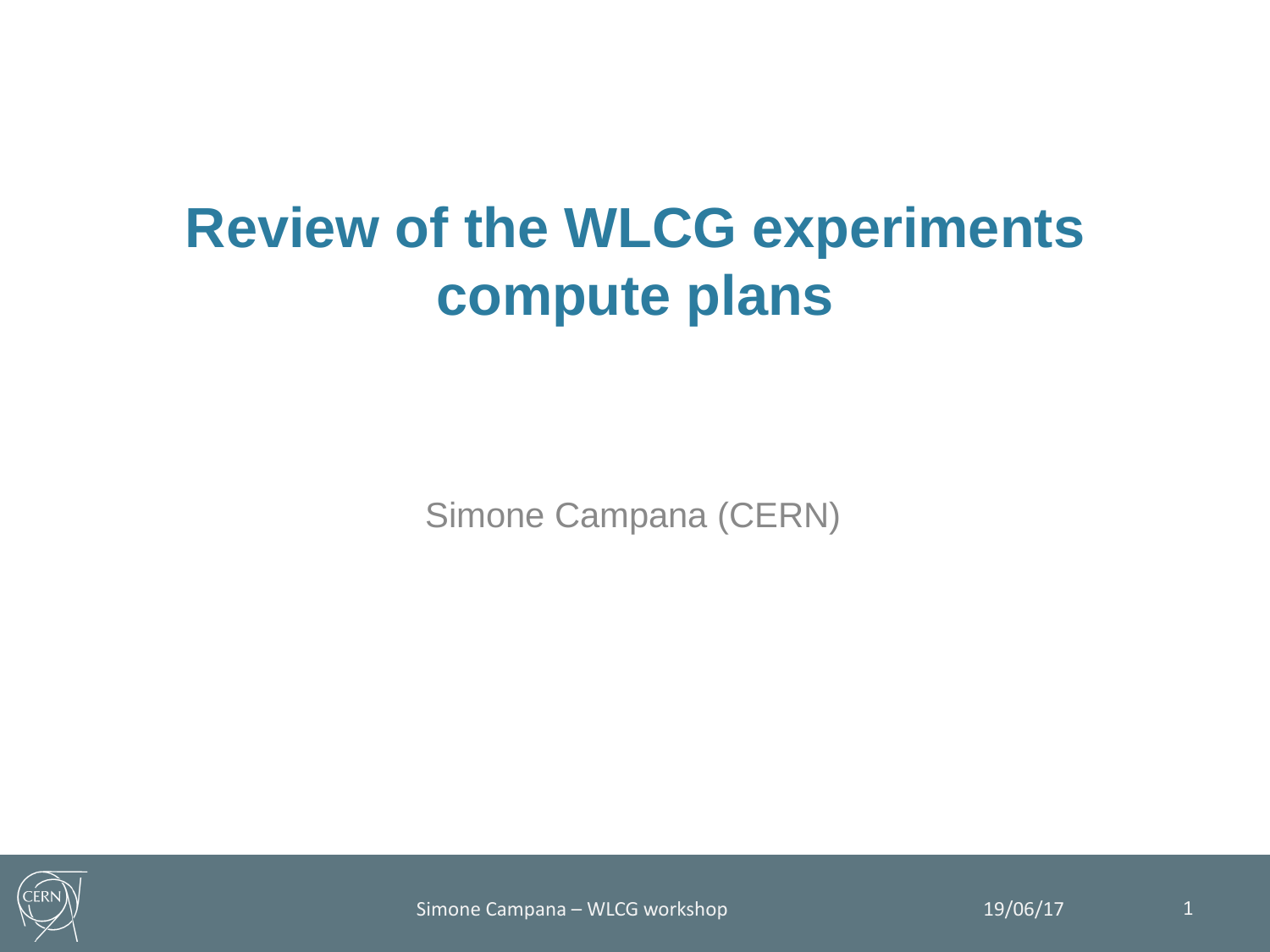# **Review of the WLCG experiments compute plans**

Simone Campana (CERN)



Simone Campana – WLCG workshop 19/06/17 19/06/17 1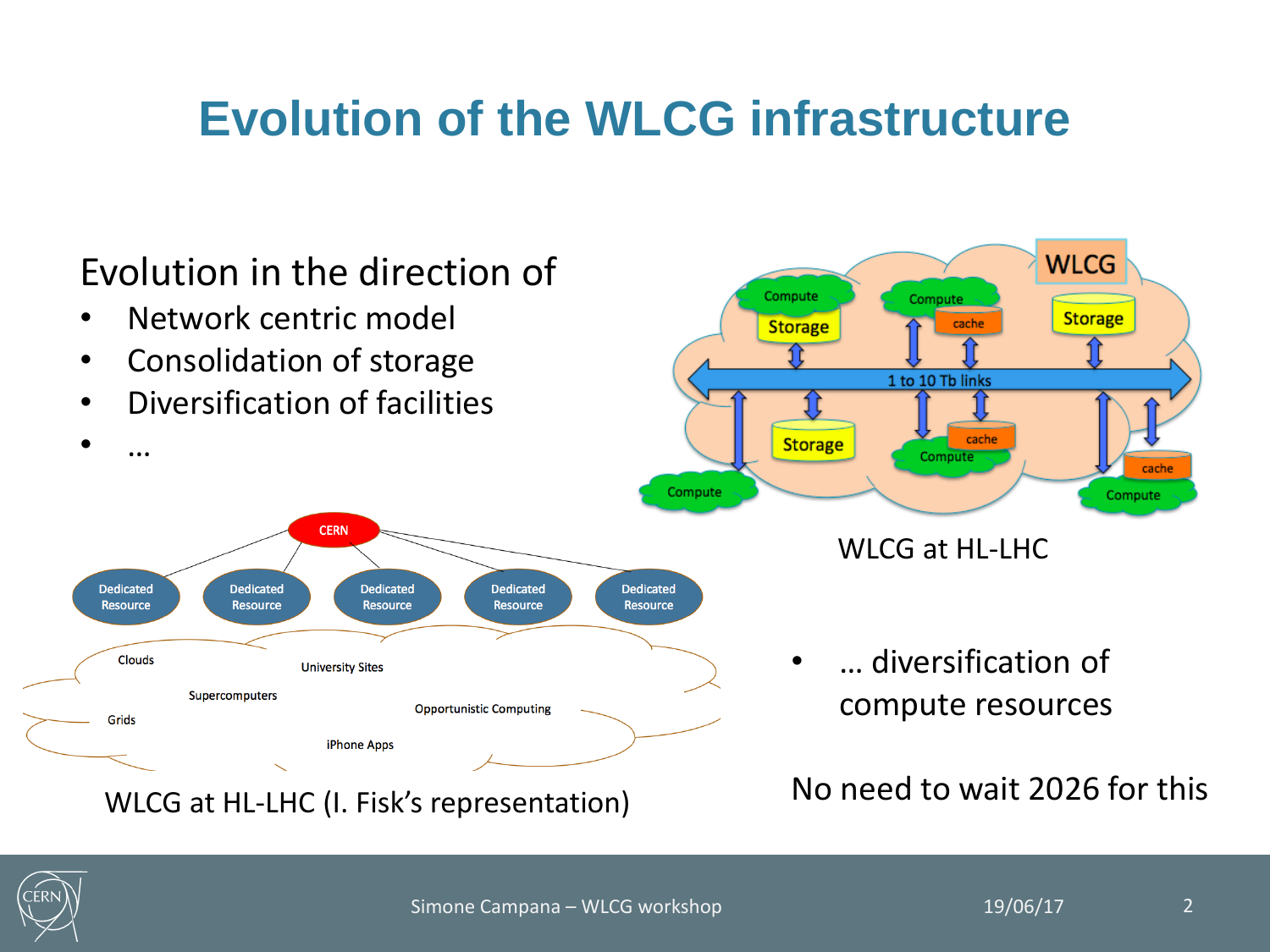#### **Evolution of the WLCG infrastructure**



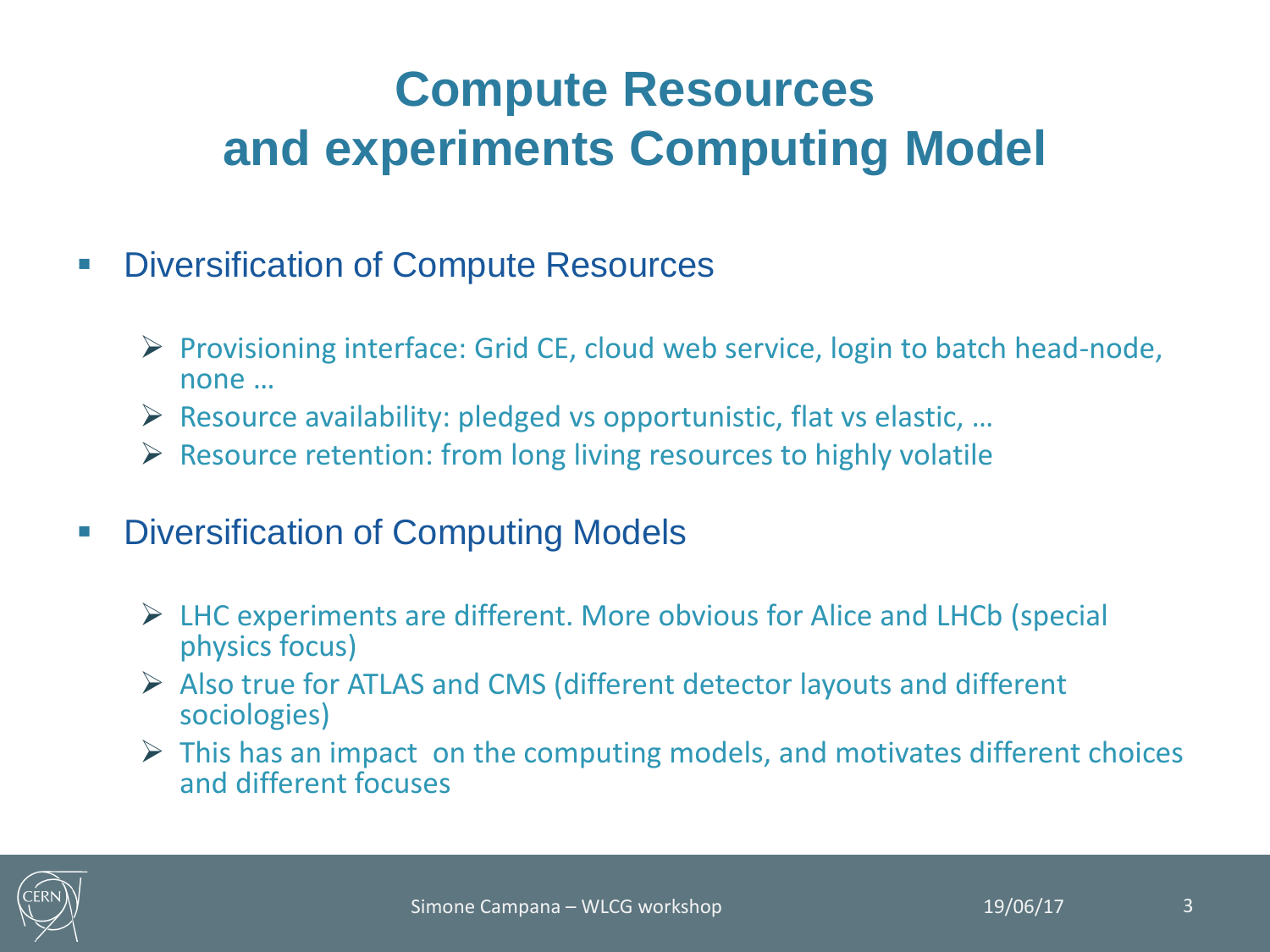### **Compute Resources and experiments Computing Model**

- **Diversification of Compute Resources** 
	- $\triangleright$  Provisioning interface: Grid CE, cloud web service, login to batch head-node, none …
	- $\triangleright$  Resource availability: pledged vs opportunistic, flat vs elastic, ...
	- $\triangleright$  Resource retention: from long living resources to highly volatile
- **Diversification of Computing Models** 
	- $\triangleright$  LHC experiments are different. More obvious for Alice and LHCb (special physics focus)
	- $\triangleright$  Also true for ATLAS and CMS (different detector layouts and different sociologies)
	- $\triangleright$  This has an impact on the computing models, and motivates different choices and different focuses

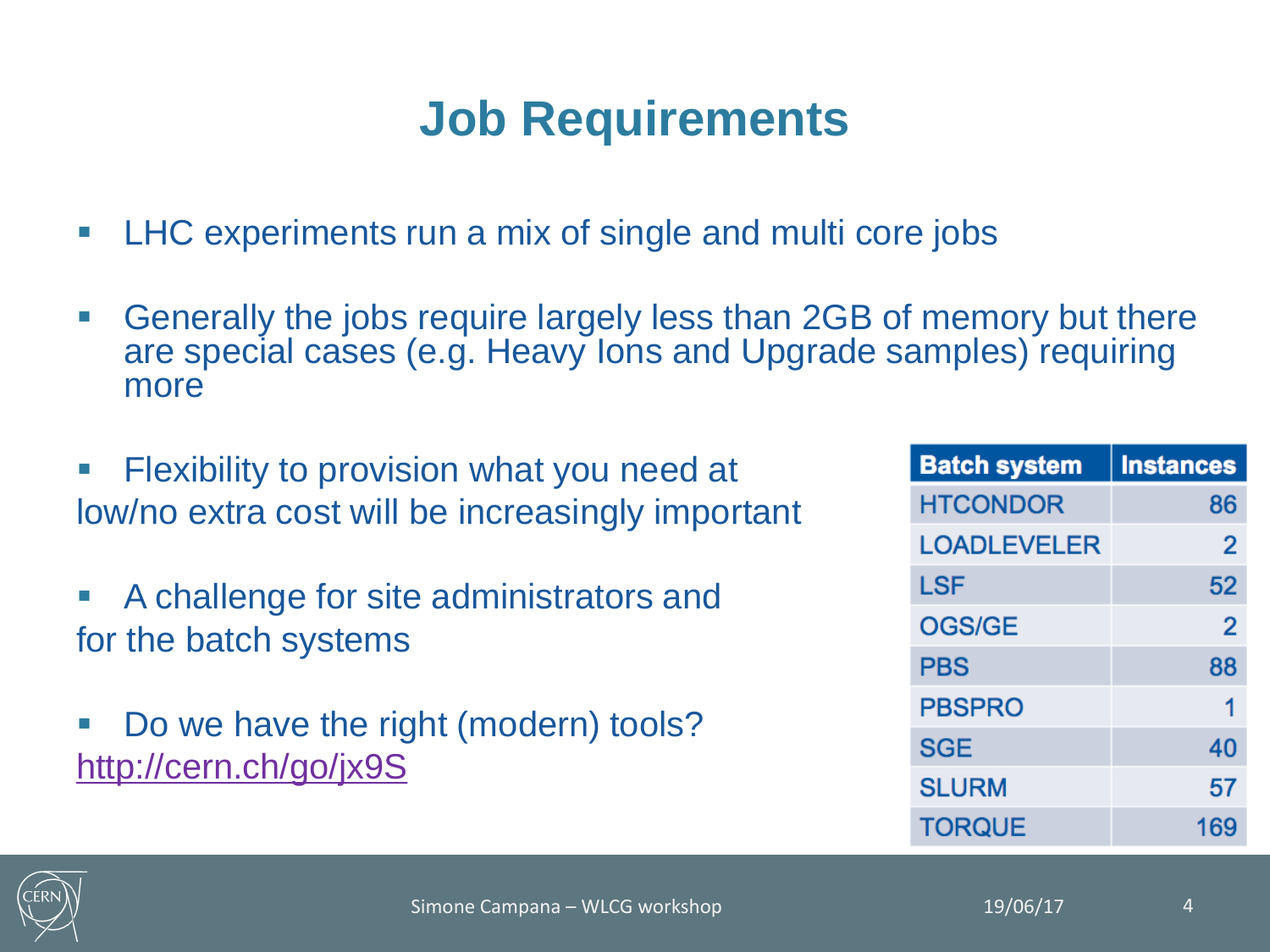### **Job Requirements**

- **LHC** experiments run a mix of single and multi core jobs
- Generally the jobs require largely less than 2GB of memory but there are special cases (e.g. Heavy Ions and Upgrade samples) requiring more
- **Filexibility to provision what you need at** low/no extra cost will be increasingly important
- A challenge for site administrators and for the batch systems
- Do we have the right (modern) tools? <http://cern.ch/go/jx9S>

| <b>Batch system</b> | <b>Instances</b> |
|---------------------|------------------|
| <b>HTCONDOR</b>     | 86               |
| <b>LOADLEVELER</b>  | 2                |
| LSF                 | 52               |
| <b>OGS/GE</b>       | 2                |
| <b>PBS</b>          | 88               |
| <b>PBSPRO</b>       | 1                |
| <b>SGE</b>          | 40               |
| <b>SLURM</b>        | 57               |
| <b>TORQUE</b>       | 169              |

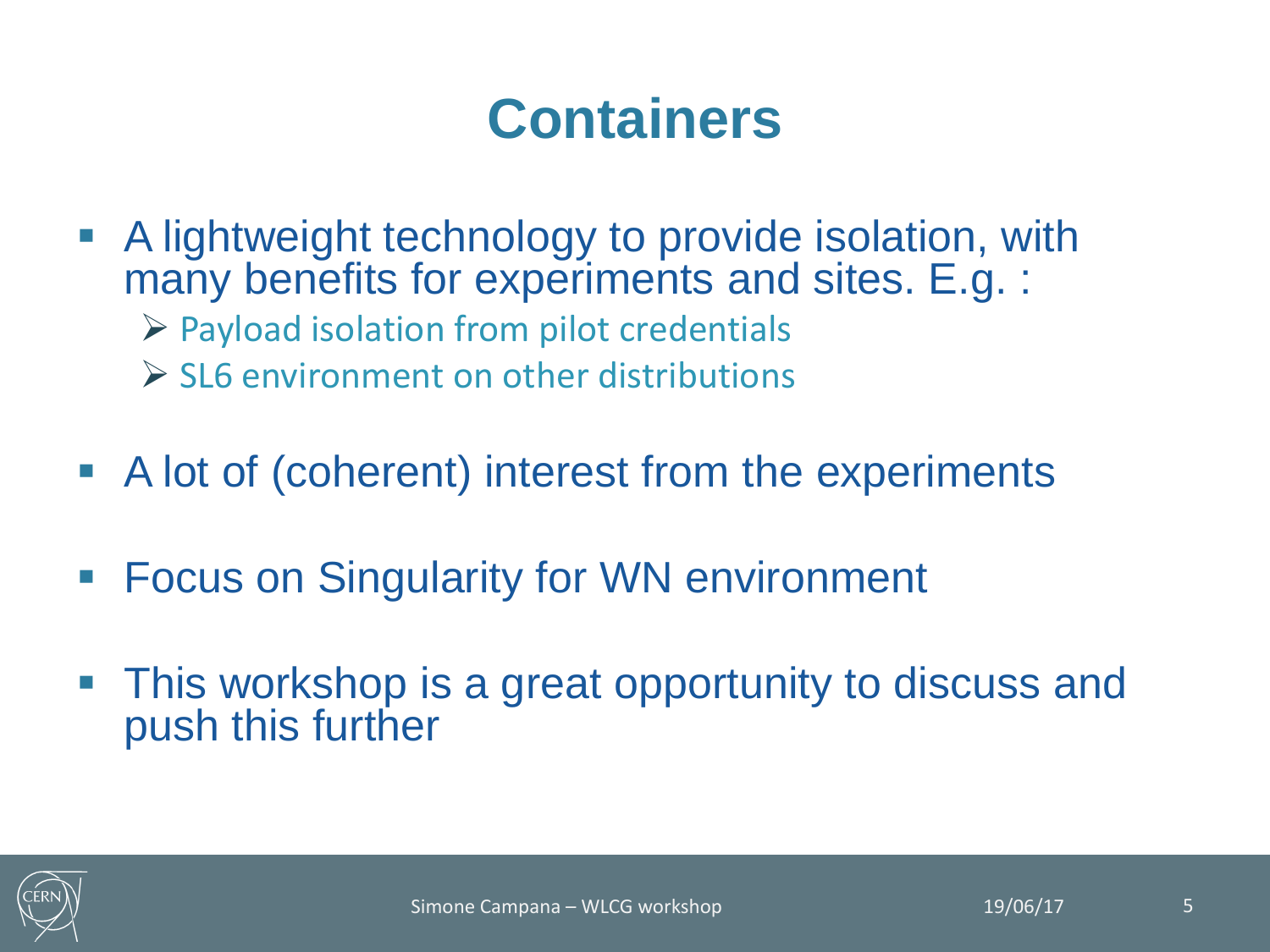# **Containers**

- A lightweight technology to provide isolation, with many benefits for experiments and sites. E.g. :  $\triangleright$  Payload isolation from pilot credentials  $\triangleright$  SL6 environment on other distributions
- A lot of (coherent) interest from the experiments
- **Focus on Singularity for WN environment**
- This workshop is a great opportunity to discuss and push this further

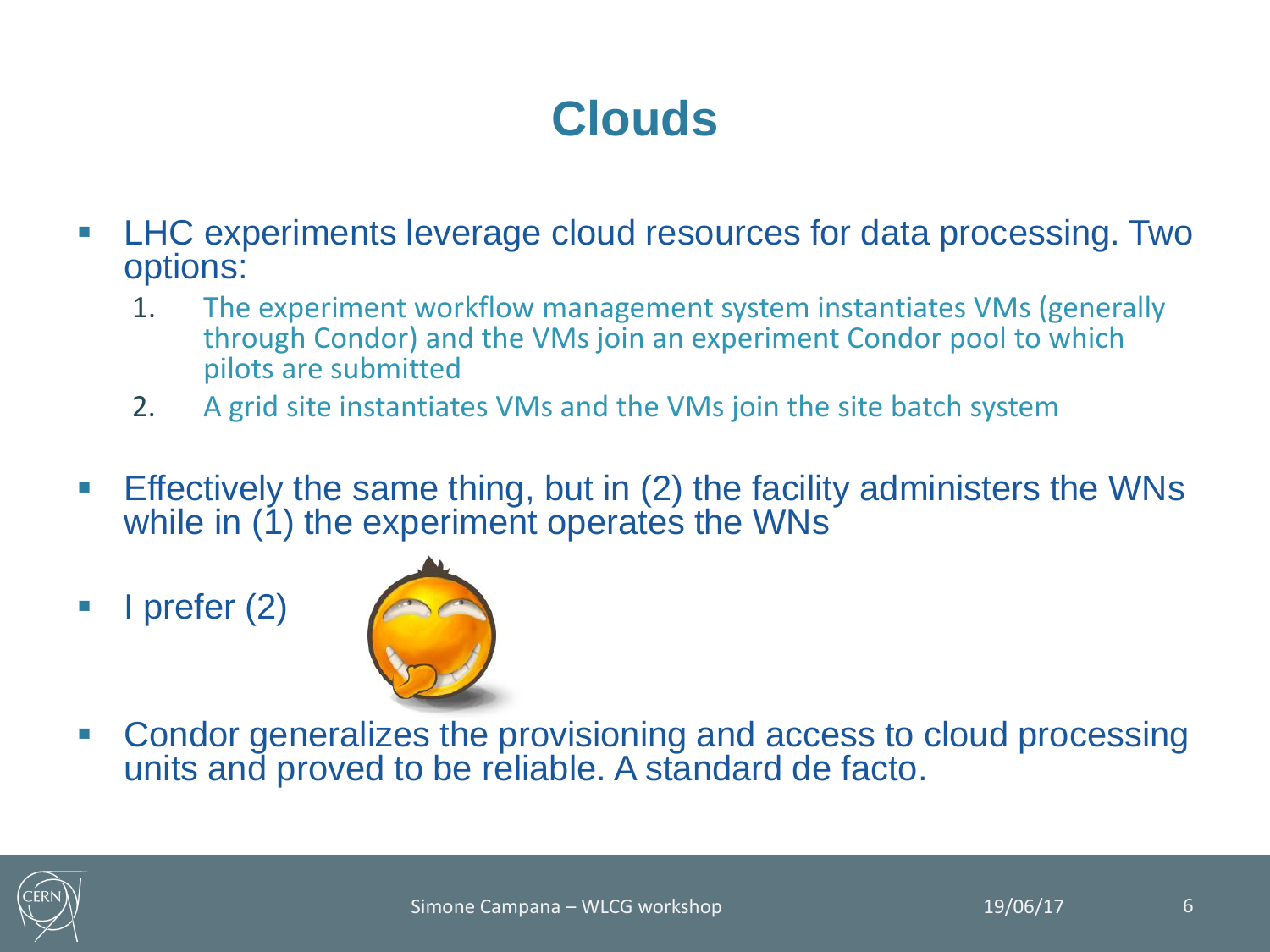#### **Clouds**

- LHC experiments leverage cloud resources for data processing. Two options:
	- 1. The experiment workflow management system instantiates VMs (generally through Condor) and the VMs join an experiment Condor pool to which pilots are submitted
	- 2. A grid site instantiates VMs and the VMs join the site batch system
- Effectively the same thing, but in (2) the facility administers the WNs while in (1) the experiment operates the WNs
- $\blacksquare$  I prefer (2)



 Condor generalizes the provisioning and access to cloud processing units and proved to be reliable. A standard de facto.

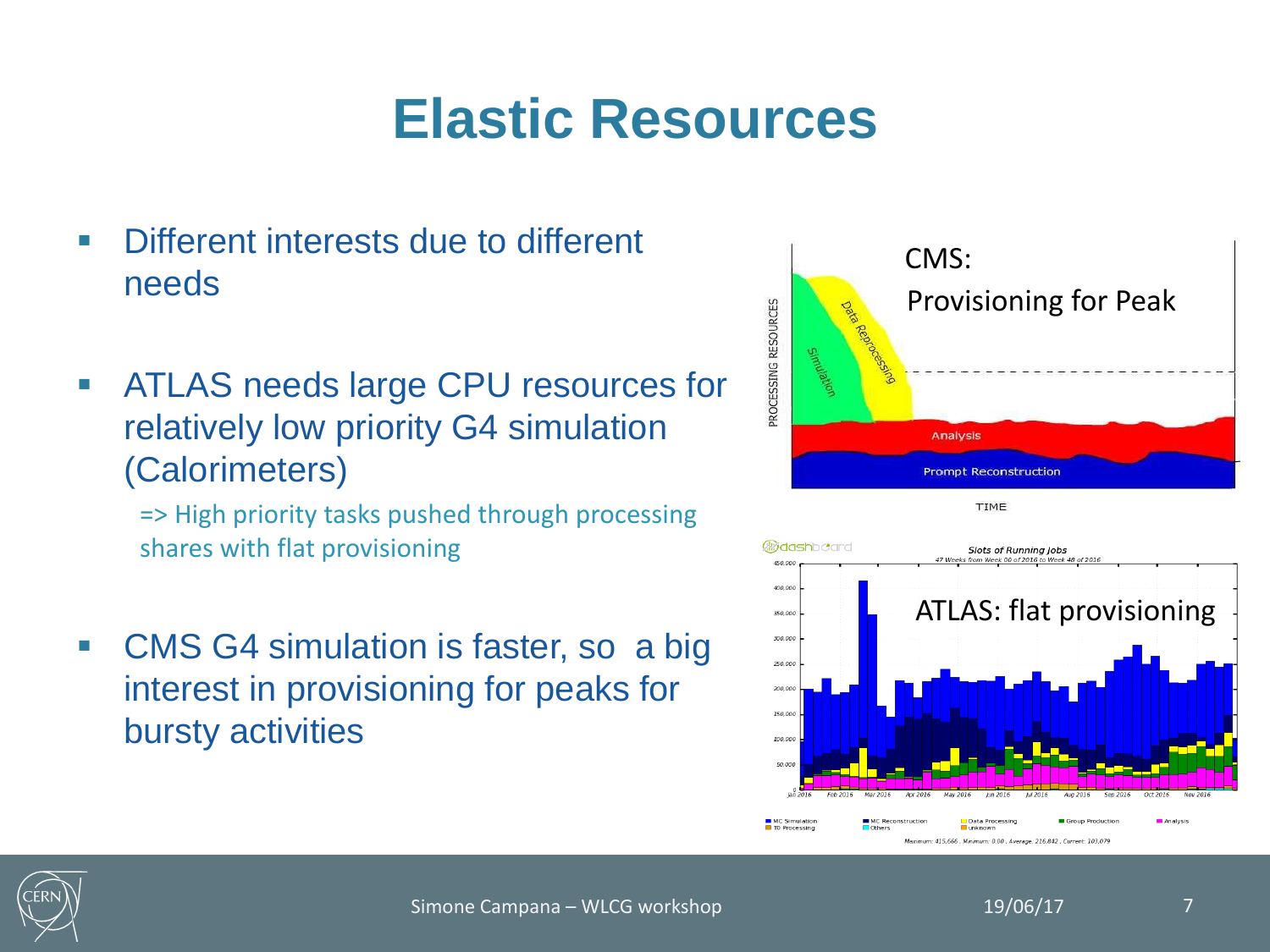# **Elastic Resources**

- **Different interests due to different** needs
- **EXECT:** ATLAS needs large CPU resources for relatively low priority G4 simulation (Calorimeters)

=> High priority tasks pushed through processing shares with flat provisioning

■ CMS G4 simulation is faster, so a big interest in provisioning for peaks for bursty activities





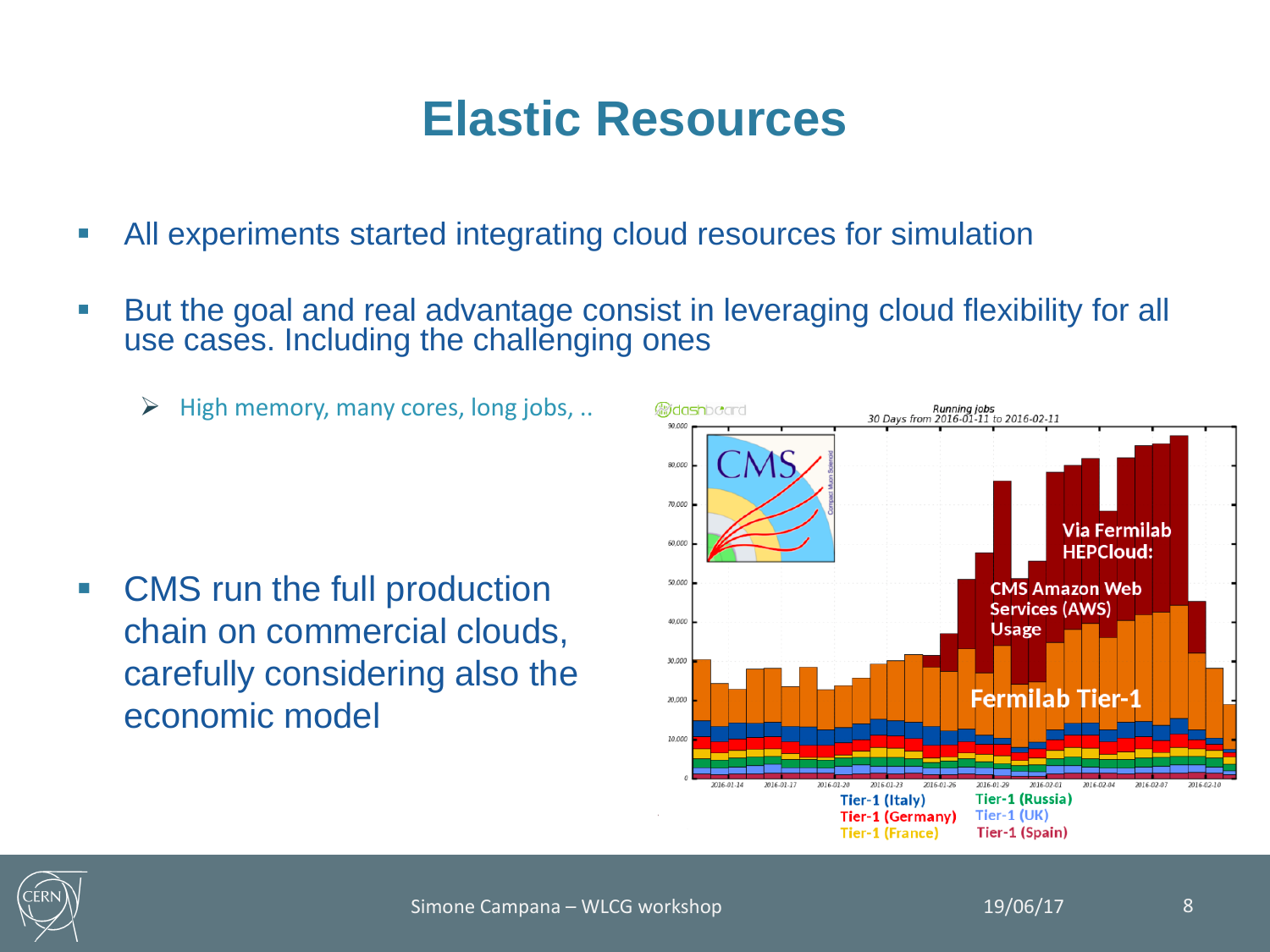#### **Elastic Resources**

- All experiments started integrating cloud resources for simulation
- But the goal and real advantage consist in leveraging cloud flexibility for all use cases. Including the challenging ones
	- $\triangleright$  High memory, many cores, long jobs, ..

 CMS run the full production chain on commercial clouds, carefully considering also the economic model



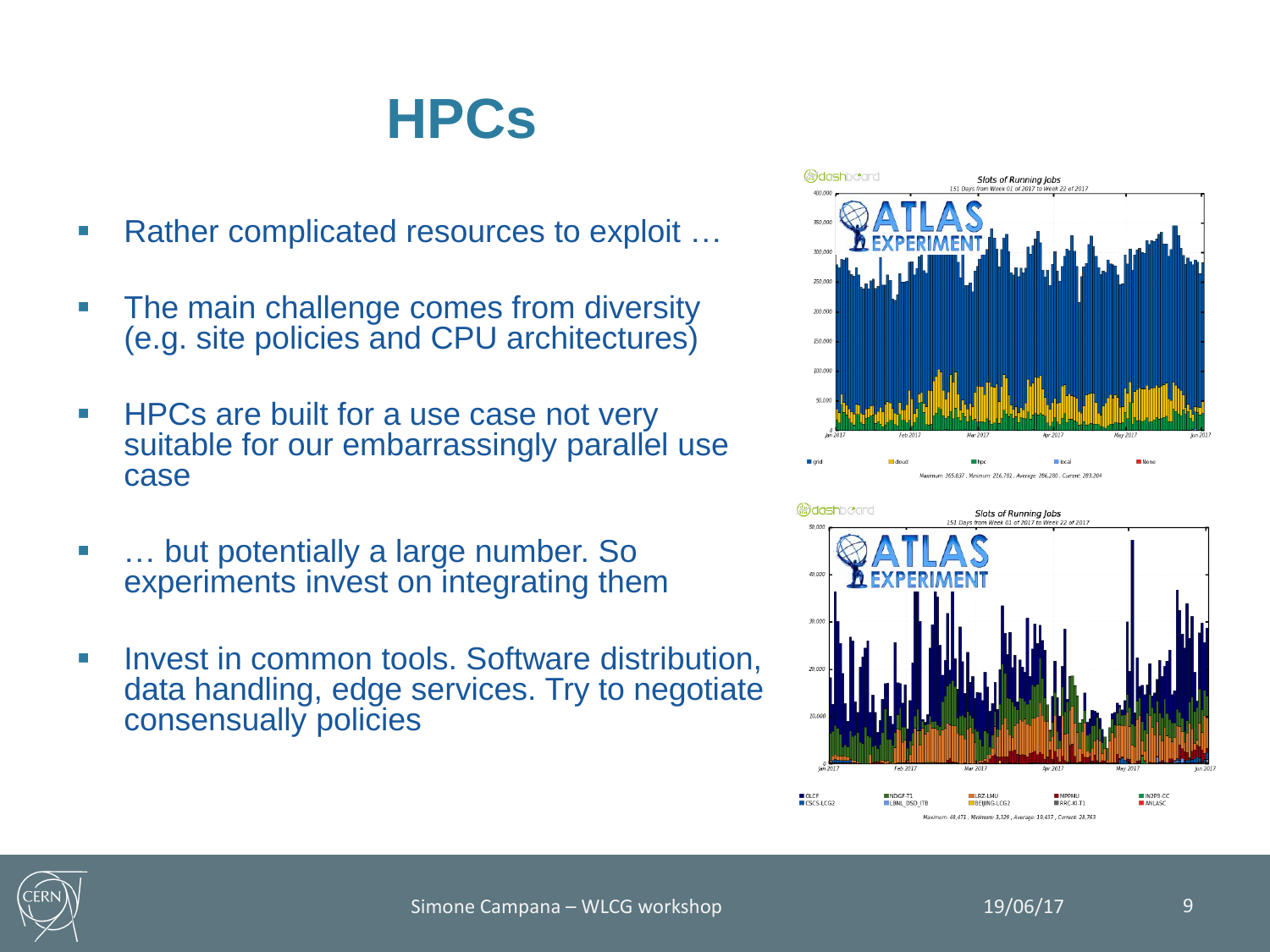### **HPCs**

- Rather complicated resources to exploit …
- The main challenge comes from diversity (e.g. site policies and CPU architectures)
- **HPCs are built for a use case not very** suitable for our embarrassingly parallel use case
- … but potentially a large number. So experiments invest on integrating them
- **Invest in common tools. Software distribution,** data handling, edge services. Try to negotiate consensually policies





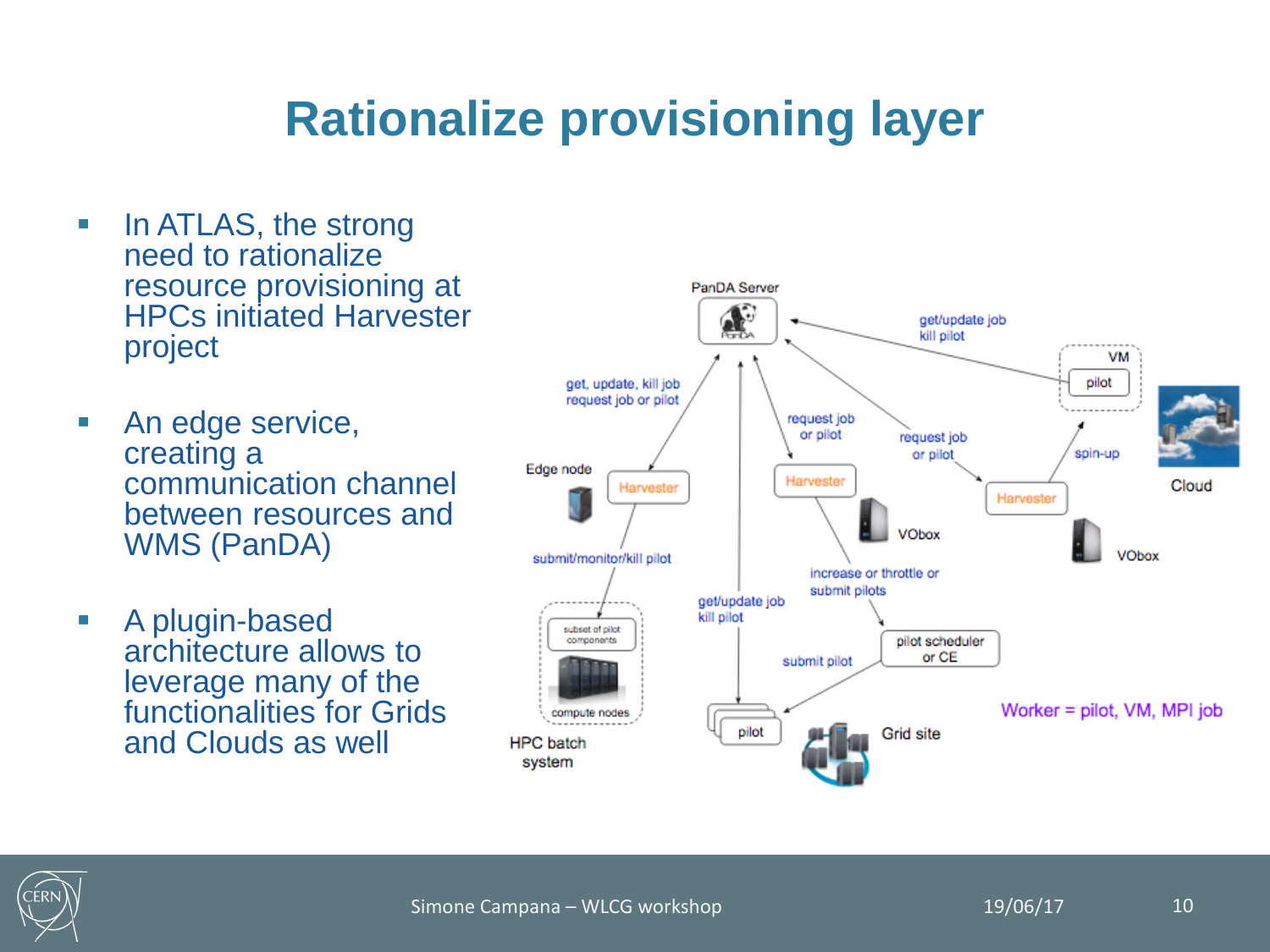### **Rationalize provisioning layer**

- In ATLAS, the strong need to rationalize resource provisioning at HPCs initiated Harvester project
- **An edge service,** creating a communication channel between resources and WMS (PanDA)
- **A** plugin-based architecture allows to leverage many of the functionalities for Grids and Clouds as well



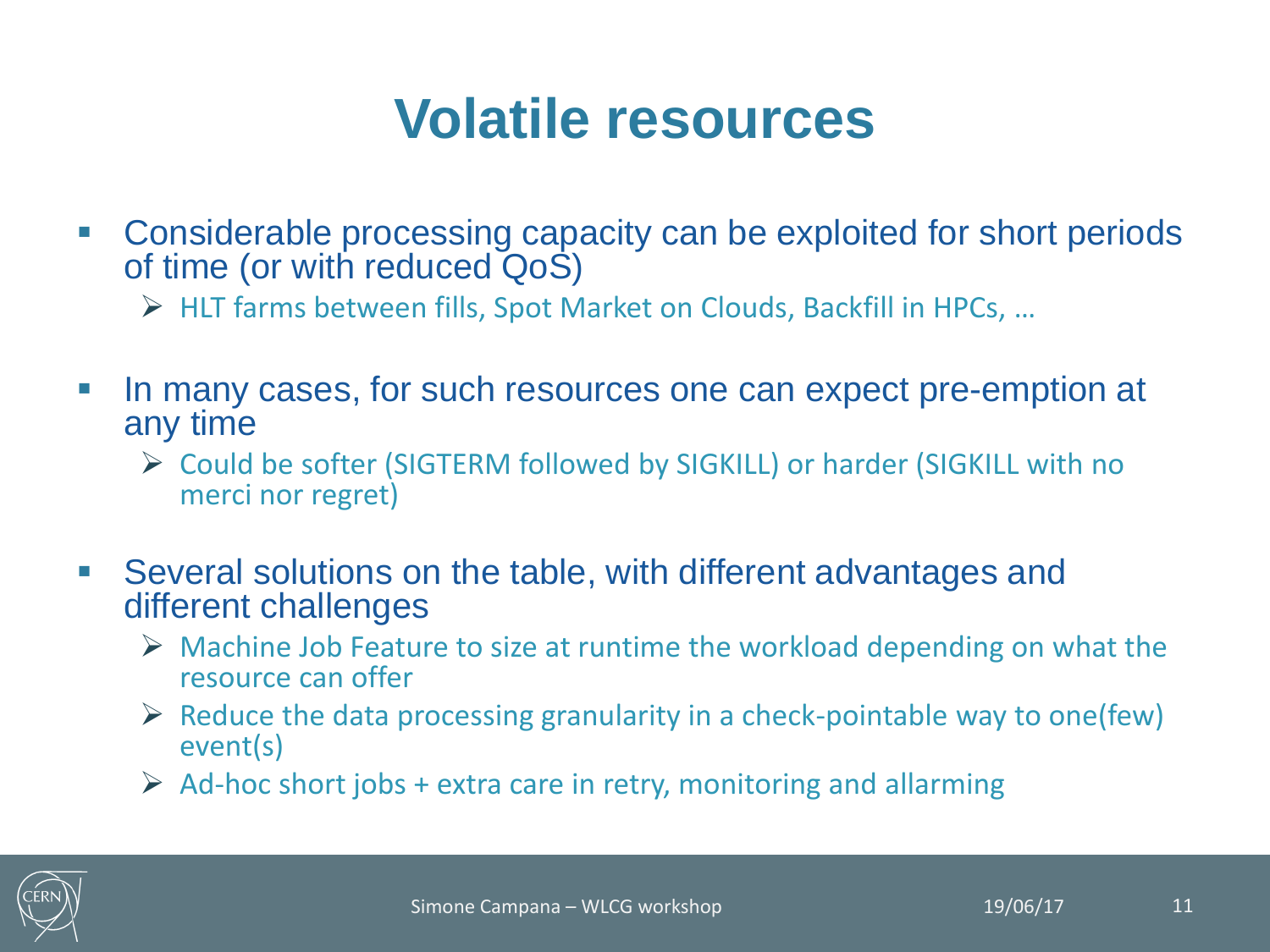### **Volatile resources**

- Considerable processing capacity can be exploited for short periods of time (or with reduced QoS)
	- HLT farms between fills, Spot Market on Clouds, Backfill in HPCs, …
- In many cases, for such resources one can expect pre-emption at any time
	- Could be softer (SIGTERM followed by SIGKILL) or harder (SIGKILL with no merci nor regret)
- Several solutions on the table, with different advantages and different challenges
	- $\triangleright$  Machine Job Feature to size at runtime the workload depending on what the resource can offer
	- $\triangleright$  Reduce the data processing granularity in a check-pointable way to one(few) event(s)
	- $\triangleright$  Ad-hoc short jobs + extra care in retry, monitoring and allarming